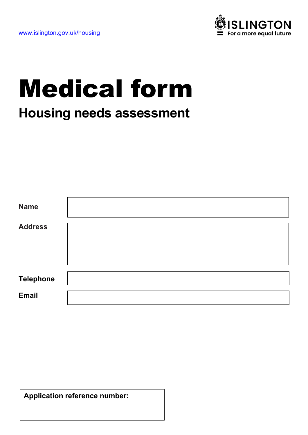

# Medical form **Housing needs assessment**

| <b>Name</b>      |  |
|------------------|--|
| <b>Address</b>   |  |
|                  |  |
| <b>Telephone</b> |  |
| <b>Email</b>     |  |

**Application reference number:**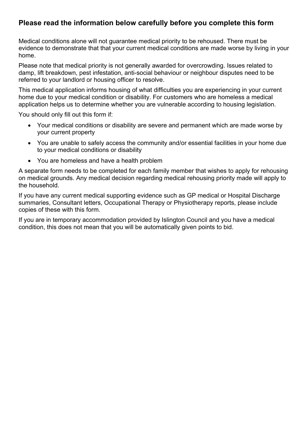# **Please read the information below carefully before you complete this form**

Medical conditions alone will not guarantee medical priority to be rehoused. There must be evidence to demonstrate that that your current medical conditions are made worse by living in your home.

Please note that medical priority is not generally awarded for overcrowding. Issues related to damp, lift breakdown, pest infestation, anti-social behaviour or neighbour disputes need to be referred to your landlord or housing officer to resolve.

 This medical application informs housing of what difficulties you are experiencing in your current home due to your medical condition or disability. For customers who are homeless a medical application helps us to determine whether you are vulnerable according to housing legislation.

You should only fill out this form if:

- Your medical conditions or disability are severe and permanent which are made worse by your current property
- You are unable to safely access the community and/or essential facilities in your home due to your medical conditions or disability
- You are homeless and have a health problem

A separate form needs to be completed for each family member that wishes to apply for rehousing on medical grounds. Any medical decision regarding medical rehousing priority made will apply to the household.

copies of these with this form. If you have any current medical supporting evidence such as GP medical or Hospital Discharge summaries, Consultant letters, Occupational Therapy or Physiotherapy reports, please include

If you are in temporary accommodation provided by Islington Council and you have a medical condition, this does not mean that you will be automatically given points to bid.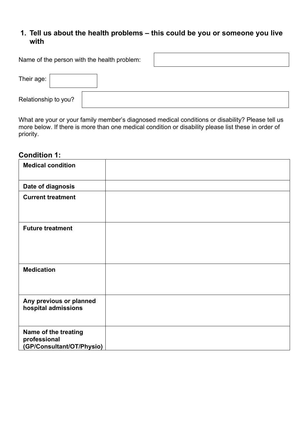## **1. Tell us about the health problems – this could be you or someone you live with**

| Name of the person with the health problem:                                                      |  |
|--------------------------------------------------------------------------------------------------|--|
| Their age:                                                                                       |  |
| Relationship to you?                                                                             |  |
| What are your or your family member's diagnosed medical conditions or disability? Please tell us |  |

more below. If there is more than one medical condition or disability please list these in order of priority.

# **Condition 1:**

| <b>Medical condition</b>                                          |  |
|-------------------------------------------------------------------|--|
| Date of diagnosis                                                 |  |
| <b>Current treatment</b>                                          |  |
| <b>Future treatment</b>                                           |  |
| <b>Medication</b>                                                 |  |
| Any previous or planned<br>hospital admissions                    |  |
| Name of the treating<br>professional<br>(GP/Consultant/OT/Physio) |  |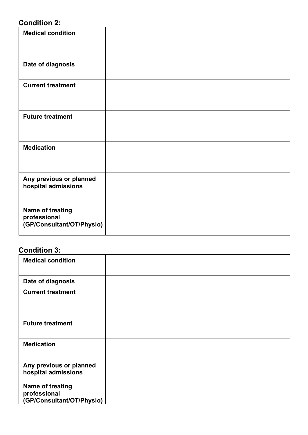# **Condition 2:**

| <b>Medical condition</b>                                      |  |
|---------------------------------------------------------------|--|
| Date of diagnosis                                             |  |
| <b>Current treatment</b>                                      |  |
| <b>Future treatment</b>                                       |  |
| <b>Medication</b>                                             |  |
| Any previous or planned<br>hospital admissions                |  |
| Name of treating<br>professional<br>(GP/Consultant/OT/Physio) |  |

| <b>Condition 3:</b>                                           |  |
|---------------------------------------------------------------|--|
| <b>Medical condition</b>                                      |  |
| Date of diagnosis                                             |  |
| <b>Current treatment</b>                                      |  |
|                                                               |  |
| <b>Future treatment</b>                                       |  |
| <b>Medication</b>                                             |  |
| Any previous or planned<br>hospital admissions                |  |
| Name of treating<br>professional<br>(GP/Consultant/OT/Physio) |  |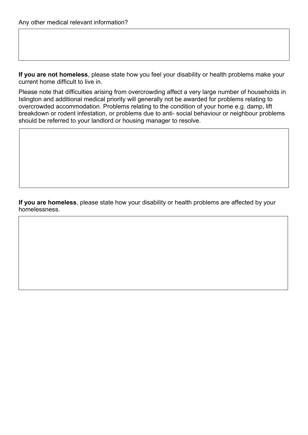**If you are not homeless**, please state how you feel your disability or health problems make your current home difficult to live in.

Please note that difficulties arising from overcrowding affect a very large number of households in Islington and additional medical priority will generally not be awarded for problems relating to overcrowded accommodation. Problems relating to the condition of your home e.g. damp, lift breakdown or rodent infestation, or problems due to anti- social behaviour or neighbour problems should be referred to your landlord or housing manager to resolve.

**If you are homeless**, please state how your disability or health problems are affected by your homelessness.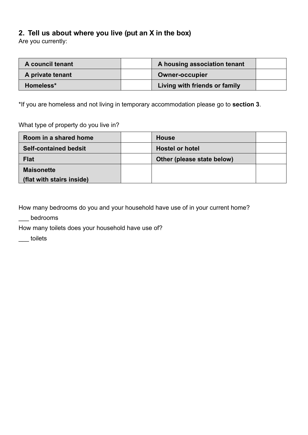# **2. Tell us about where you live (put an X in the box)**

Are you currently:

| A council tenant | A housing association tenant  |  |
|------------------|-------------------------------|--|
| A private tenant | <b>Owner-occupier</b>         |  |
| Homeless*        | Living with friends or family |  |

\*If you are homeless and not living in temporary accommodation please go to **section 3**.

What type of property do you live in?

| Room in a shared home        | <b>House</b>               |  |
|------------------------------|----------------------------|--|
| <b>Self-contained bedsit</b> | <b>Hostel or hotel</b>     |  |
| <b>Flat</b>                  | Other (please state below) |  |
| <b>Maisonette</b>            |                            |  |
| (flat with stairs inside)    |                            |  |

How many bedrooms do you and your household have use of in your current home?

\_\_\_ bedrooms

How many toilets does your household have use of?

\_\_\_ toilets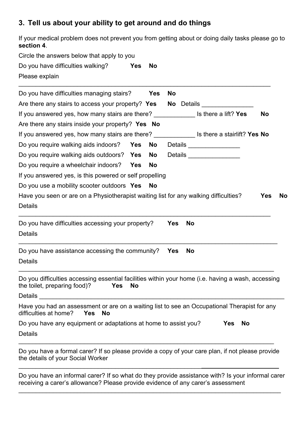# **3. Tell us about your ability to get around and do things**

If your medical problem does not prevent you from getting about or doing daily tasks please go to **section 4**.

| Circle the answers below that apply to you                                                                                                       |            |            |            |           |                            |            |           |
|--------------------------------------------------------------------------------------------------------------------------------------------------|------------|------------|------------|-----------|----------------------------|------------|-----------|
| Do you have difficulties walking?                                                                                                                | <b>Yes</b> | <b>No</b>  |            |           |                            |            |           |
| Please explain                                                                                                                                   |            |            |            |           |                            |            |           |
| Do you have difficulties managing stairs?                                                                                                        |            | <b>Yes</b> | <b>No</b>  |           |                            |            |           |
| Are there any stairs to access your property? Yes                                                                                                |            |            | No         |           | <b>Details Details</b>     |            |           |
| If you answered yes, how many stairs are there?                                                                                                  |            |            |            |           | Is there a lift? Yes       | No         |           |
| Are there any stairs inside your property? Yes No                                                                                                |            |            |            |           |                            |            |           |
| If you answered yes, how many stairs are there? _______________ Is there a stairlift? Yes No                                                     |            |            |            |           |                            |            |           |
| Do you require walking aids indoors?                                                                                                             | Yes        | No         |            |           | Details __________________ |            |           |
| Do you require walking aids outdoors? Yes                                                                                                        |            | No         |            |           |                            |            |           |
| Do you require a wheelchair indoors?                                                                                                             | <b>Yes</b> | <b>No</b>  |            |           |                            |            |           |
| If you answered yes, is this powered or self propelling                                                                                          |            |            |            |           |                            |            |           |
| Do you use a mobility scooter outdoors Yes No                                                                                                    |            |            |            |           |                            |            |           |
| Have you seen or are on a Physiotherapist waiting list for any walking difficulties?                                                             |            |            |            |           |                            | <b>Yes</b> | <b>No</b> |
| <b>Details</b>                                                                                                                                   |            |            |            |           |                            |            |           |
|                                                                                                                                                  |            |            |            |           |                            |            |           |
| Do you have difficulties accessing your property?                                                                                                |            |            | <b>Yes</b> | <b>No</b> |                            |            |           |
| <b>Details</b>                                                                                                                                   |            |            |            |           |                            |            |           |
|                                                                                                                                                  |            |            |            |           |                            |            |           |
| Do you have assistance accessing the community?                                                                                                  |            |            | <b>Yes</b> | <b>No</b> |                            |            |           |
| <b>Details</b>                                                                                                                                   |            |            |            |           |                            |            |           |
|                                                                                                                                                  |            |            |            |           |                            |            |           |
| Do you difficulties accessing essential facilities within your home (i.e. having a wash, accessing                                               |            |            |            |           |                            |            |           |
| the toilet, preparing food)? Yes                                                                                                                 | <b>No</b>  |            |            |           |                            |            |           |
| Details                                                                                                                                          |            |            |            |           |                            |            |           |
| Have you had an assessment or are on a waiting list to see an Occupational Therapist for any<br>difficulties at home?<br><b>Yes</b><br><b>No</b> |            |            |            |           |                            |            |           |
| Do you have any equipment or adaptations at home to assist you?                                                                                  |            |            |            |           | <b>No</b><br><b>Yes</b>    |            |           |
| <b>Details</b>                                                                                                                                   |            |            |            |           |                            |            |           |
|                                                                                                                                                  |            |            |            |           |                            |            |           |
| Do you have a formal carer? If so please provide a copy of your care plan, if not please provide                                                 |            |            |            |           |                            |            |           |

 $\overline{a}$ the details of your Social Worker

\_\_\_\_\_\_\_\_\_\_\_\_\_\_\_\_\_\_\_\_\_\_\_\_\_\_\_\_\_\_\_\_\_\_\_\_\_\_\_\_\_\_\_\_\_\_\_\_\_\_\_\_\_ \_\_\_\_\_\_\_\_\_\_\_\_\_\_\_\_\_\_\_\_\_\_\_\_\_\_\_\_\_\_\_\_\_\_\_\_\_\_\_\_\_\_\_\_\_\_\_\_\_\_\_\_\_\_\_\_\_\_\_\_\_\_\_\_\_\_\_\_\_\_\_\_\_\_\_\_ Do you have an informal carer? If so what do they provide assistance with? Is your informal carer receiving a carer's allowance? Please provide evidence of any carer's assessment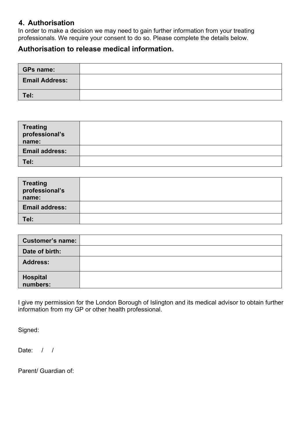# **4. Authorisation**

In order to make a decision we may need to gain further information from your treating professionals. We require your consent to do so. Please complete the details below.

# **Authorisation to release medical information.**

| <b>GPs name:</b>      |  |
|-----------------------|--|
| <b>Email Address:</b> |  |
| Tel:                  |  |

| <b>Treating</b><br>professional's<br>name: |  |
|--------------------------------------------|--|
| <b>Email address:</b>                      |  |
| Tel:                                       |  |

| Treating<br>professional's<br>name: |  |
|-------------------------------------|--|
| <b>Email address:</b>               |  |
| Tel:                                |  |

| <b>Customer's name:</b>     |  |
|-----------------------------|--|
| Date of birth:              |  |
| <b>Address:</b>             |  |
| <b>Hospital</b><br>numbers: |  |

I give my permission for the London Borough of Islington and its medical advisor to obtain further information from my GP or other health professional.

Signed:

Date: / /

Parent/ Guardian of: